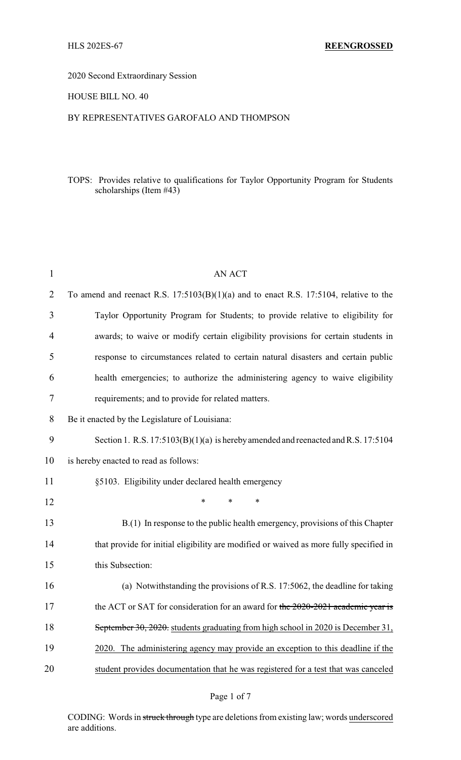2020 Second Extraordinary Session

HOUSE BILL NO. 40

#### BY REPRESENTATIVES GAROFALO AND THOMPSON

## TOPS: Provides relative to qualifications for Taylor Opportunity Program for Students scholarships (Item #43)

| $\mathbf{1}$ | <b>AN ACT</b>                                                                           |
|--------------|-----------------------------------------------------------------------------------------|
| 2            | To amend and reenact R.S. $17:5103(B)(1)(a)$ and to enact R.S. 17:5104, relative to the |
| 3            | Taylor Opportunity Program for Students; to provide relative to eligibility for         |
| 4            | awards; to waive or modify certain eligibility provisions for certain students in       |
| 5            | response to circumstances related to certain natural disasters and certain public       |
| 6            | health emergencies; to authorize the administering agency to waive eligibility          |
| 7            | requirements; and to provide for related matters.                                       |
| 8            | Be it enacted by the Legislature of Louisiana:                                          |
| 9            | Section 1. R.S. $17:5103(B)(1)(a)$ is hereby amended and reenacted and R.S. $17:5104$   |
| 10           | is hereby enacted to read as follows:                                                   |
| 11           | §5103. Eligibility under declared health emergency                                      |
| 12           | $\ast$<br>$\ast$<br>*                                                                   |
| 13           | B.(1) In response to the public health emergency, provisions of this Chapter            |
| 14           | that provide for initial eligibility are modified or waived as more fully specified in  |
| 15           | this Subsection:                                                                        |
| 16           | (a) Notwithstanding the provisions of R.S. 17:5062, the deadline for taking             |
| 17           | the ACT or SAT for consideration for an award for the 2020-2021 academic year is        |
| 18           | September 30, 2020. students graduating from high school in 2020 is December 31,        |
| 19           | 2020. The administering agency may provide an exception to this deadline if the         |
| 20           | student provides documentation that he was registered for a test that was canceled      |

CODING: Words in struck through type are deletions from existing law; words underscored are additions.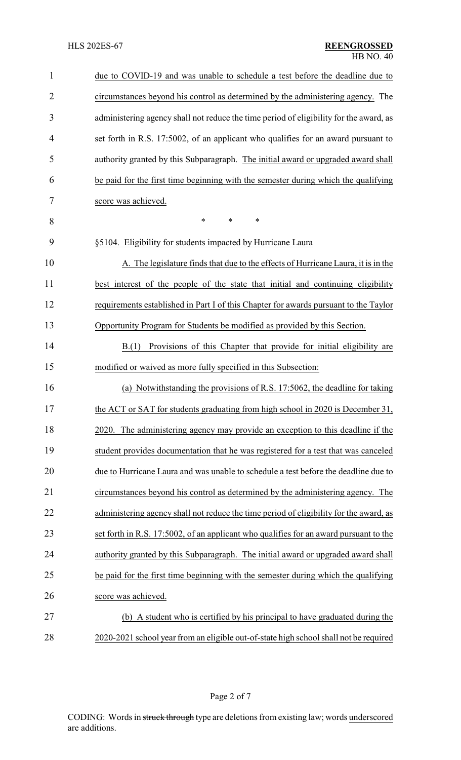| $\mathbf{1}$   | due to COVID-19 and was unable to schedule a test before the deadline due to           |
|----------------|----------------------------------------------------------------------------------------|
| $\overline{2}$ | circumstances beyond his control as determined by the administering agency. The        |
| 3              | administering agency shall not reduce the time period of eligibility for the award, as |
| $\overline{4}$ | set forth in R.S. 17:5002, of an applicant who qualifies for an award pursuant to      |
| 5              | authority granted by this Subparagraph. The initial award or upgraded award shall      |
| 6              | be paid for the first time beginning with the semester during which the qualifying     |
| 7              | score was achieved.                                                                    |
| 8              | $\ast$<br>*<br>$\ast$                                                                  |
| 9              | §5104. Eligibility for students impacted by Hurricane Laura                            |
| 10             | A. The legislature finds that due to the effects of Hurricane Laura, it is in the      |
| 11             | best interest of the people of the state that initial and continuing eligibility       |
| 12             | requirements established in Part I of this Chapter for awards pursuant to the Taylor   |
| 13             | Opportunity Program for Students be modified as provided by this Section.              |
| 14             | Provisions of this Chapter that provide for initial eligibility are<br>B(1)            |
| 15             | modified or waived as more fully specified in this Subsection:                         |
| 16             | (a) Notwithstanding the provisions of R.S. 17:5062, the deadline for taking            |
| 17             | the ACT or SAT for students graduating from high school in 2020 is December 31,        |
| 18             | 2020. The administering agency may provide an exception to this deadline if the        |
| 19             | student provides documentation that he was registered for a test that was canceled     |
| 20             | due to Hurricane Laura and was unable to schedule a test before the deadline due to    |
| 21             | circumstances beyond his control as determined by the administering agency. The        |
| 22             | administering agency shall not reduce the time period of eligibility for the award, as |
| 23             | set forth in R.S. 17:5002, of an applicant who qualifies for an award pursuant to the  |
| 24             | authority granted by this Subparagraph. The initial award or upgraded award shall      |
| 25             | be paid for the first time beginning with the semester during which the qualifying     |
| 26             | score was achieved.                                                                    |
| 27             | A student who is certified by his principal to have graduated during the<br>(b)        |
| 28             | 2020-2021 school year from an eligible out-of-state high school shall not be required  |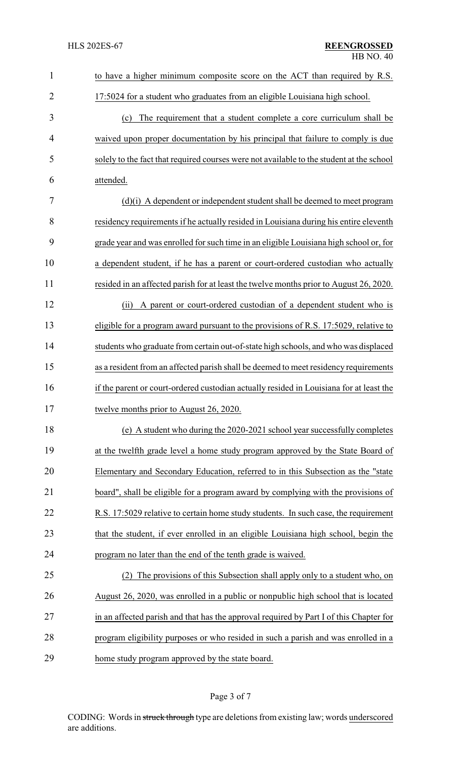| $\mathbf{1}$   | to have a higher minimum composite score on the ACT than required by R.S.                |
|----------------|------------------------------------------------------------------------------------------|
| $\overline{2}$ | 17:5024 for a student who graduates from an eligible Louisiana high school.              |
| 3              | (c) The requirement that a student complete a core curriculum shall be                   |
| 4              | waived upon proper documentation by his principal that failure to comply is due          |
| 5              | solely to the fact that required courses were not available to the student at the school |
| 6              | attended.                                                                                |
| 7              | (d)(i) A dependent or independent student shall be deemed to meet program                |
| 8              | residency requirements if he actually resided in Louisiana during his entire eleventh    |
| 9              | grade year and was enrolled for such time in an eligible Louisiana high school or, for   |
| 10             | a dependent student, if he has a parent or court-ordered custodian who actually          |
| 11             | resided in an affected parish for at least the twelve months prior to August 26, 2020.   |
| 12             | A parent or court-ordered custodian of a dependent student who is<br>(ii)                |
| 13             | eligible for a program award pursuant to the provisions of R.S. 17:5029, relative to     |
| 14             | students who graduate from certain out-of-state high schools, and who was displaced      |
| 15             | as a resident from an affected parish shall be deemed to meet residency requirements     |
| 16             | if the parent or court-ordered custodian actually resided in Louisiana for at least the  |
| 17             | twelve months prior to August 26, 2020.                                                  |
| 18             | (e) A student who during the 2020-2021 school year successfully completes                |
| 19             | at the twelfth grade level a home study program approved by the State Board of           |
| 20             | Elementary and Secondary Education, referred to in this Subsection as the "state         |
| 21             | board", shall be eligible for a program award by complying with the provisions of        |
| 22             | R.S. 17:5029 relative to certain home study students. In such case, the requirement      |
| 23             | that the student, if ever enrolled in an eligible Louisiana high school, begin the       |
| 24             | program no later than the end of the tenth grade is waived.                              |
| 25             | The provisions of this Subsection shall apply only to a student who, on<br>(2)           |
| 26             | August 26, 2020, was enrolled in a public or nonpublic high school that is located       |
| 27             | in an affected parish and that has the approval required by Part I of this Chapter for   |
| 28             | program eligibility purposes or who resided in such a parish and was enrolled in a       |
| 29             | home study program approved by the state board.                                          |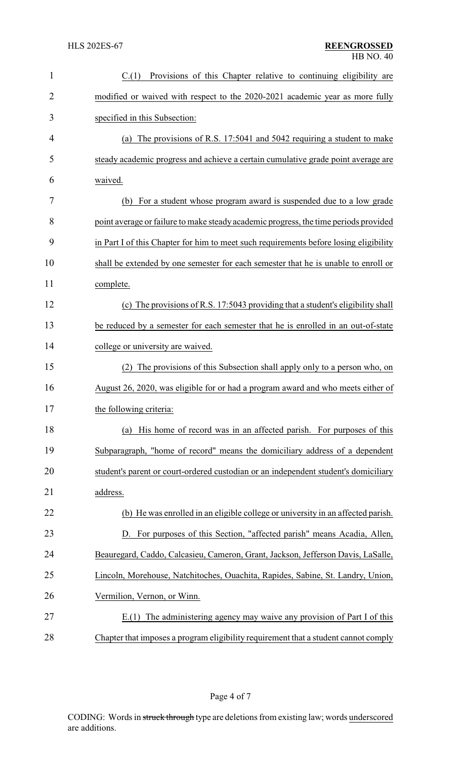| 1              | Provisions of this Chapter relative to continuing eligibility are<br>C.(1)            |
|----------------|---------------------------------------------------------------------------------------|
| $\overline{2}$ | modified or waived with respect to the 2020-2021 academic year as more fully          |
| 3              | specified in this Subsection:                                                         |
| 4              | (a) The provisions of R.S. 17:5041 and 5042 requiring a student to make               |
| 5              | steady academic progress and achieve a certain cumulative grade point average are     |
| 6              | waived.                                                                               |
| 7              | (b) For a student whose program award is suspended due to a low grade                 |
| 8              | point average or failure to make steady academic progress, the time periods provided  |
| 9              | in Part I of this Chapter for him to meet such requirements before losing eligibility |
| 10             | shall be extended by one semester for each semester that he is unable to enroll or    |
| 11             | complete.                                                                             |
| 12             | (c) The provisions of R.S. 17:5043 providing that a student's eligibility shall       |
| 13             | be reduced by a semester for each semester that he is enrolled in an out-of-state     |
| 14             | college or university are waived.                                                     |
| 15             | The provisions of this Subsection shall apply only to a person who, on<br>(2)         |
| 16             | August 26, 2020, was eligible for or had a program award and who meets either of      |
| 17             | the following criteria:                                                               |
| 18             | (a) His home of record was in an affected parish. For purposes of this                |
| 19             | Subparagraph, "home of record" means the domiciliary address of a dependent           |
| 20             | student's parent or court-ordered custodian or an independent student's domiciliary   |
| 21             | address.                                                                              |
| 22             | (b) He was enrolled in an eligible college or university in an affected parish.       |
| 23             | D. For purposes of this Section, "affected parish" means Acadia, Allen,               |
| 24             | Beauregard, Caddo, Calcasieu, Cameron, Grant, Jackson, Jefferson Davis, LaSalle,      |
| 25             | Lincoln, Morehouse, Natchitoches, Ouachita, Rapides, Sabine, St. Landry, Union,       |
| 26             | Vermilion, Vernon, or Winn.                                                           |
| 27             | E.(1) The administering agency may waive any provision of Part I of this              |
| 28             | Chapter that imposes a program eligibility requirement that a student cannot comply   |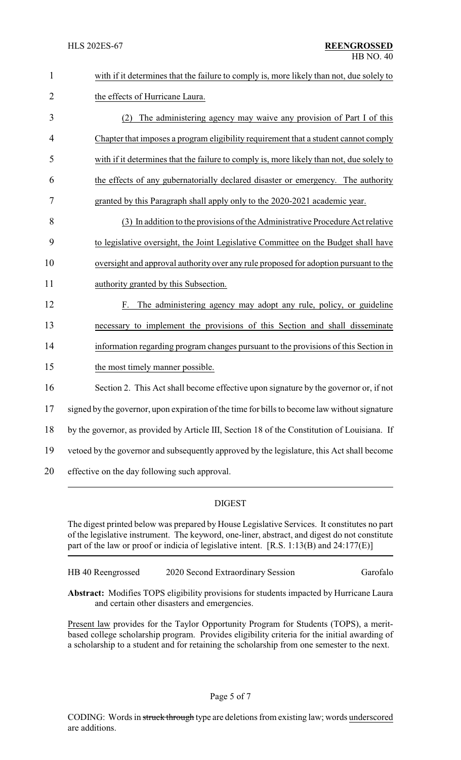| $\mathbf{1}$   | with if it determines that the failure to comply is, more likely than not, due solely to      |
|----------------|-----------------------------------------------------------------------------------------------|
| $\overline{2}$ | the effects of Hurricane Laura.                                                               |
| 3              | The administering agency may waive any provision of Part I of this<br>(2)                     |
| 4              | Chapter that imposes a program eligibility requirement that a student cannot comply           |
| 5              | with if it determines that the failure to comply is, more likely than not, due solely to      |
| 6              | the effects of any gubernatorially declared disaster or emergency. The authority              |
| 7              | granted by this Paragraph shall apply only to the 2020-2021 academic year.                    |
| 8              | (3) In addition to the provisions of the Administrative Procedure Act relative                |
| 9              | to legislative oversight, the Joint Legislative Committee on the Budget shall have            |
| 10             | oversight and approval authority over any rule proposed for adoption pursuant to the          |
| 11             | authority granted by this Subsection.                                                         |
| 12             | The administering agency may adopt any rule, policy, or guideline<br>F.                       |
| 13             | necessary to implement the provisions of this Section and shall disseminate                   |
| 14             | information regarding program changes pursuant to the provisions of this Section in           |
| 15             | the most timely manner possible.                                                              |
| 16             | Section 2. This Act shall become effective upon signature by the governor or, if not          |
| 17             | signed by the governor, upon expiration of the time for bills to become law without signature |
| 18             | by the governor, as provided by Article III, Section 18 of the Constitution of Louisiana. If  |
| 19             | vetoed by the governor and subsequently approved by the legislature, this Act shall become    |
| 20             | effective on the day following such approval.                                                 |

# DIGEST

The digest printed below was prepared by House Legislative Services. It constitutes no part of the legislative instrument. The keyword, one-liner, abstract, and digest do not constitute part of the law or proof or indicia of legislative intent. [R.S. 1:13(B) and 24:177(E)]

HB 40 Reengrossed 2020 Second Extraordinary Session Garofalo

**Abstract:** Modifies TOPS eligibility provisions for students impacted by Hurricane Laura and certain other disasters and emergencies.

Present law provides for the Taylor Opportunity Program for Students (TOPS), a meritbased college scholarship program. Provides eligibility criteria for the initial awarding of a scholarship to a student and for retaining the scholarship from one semester to the next.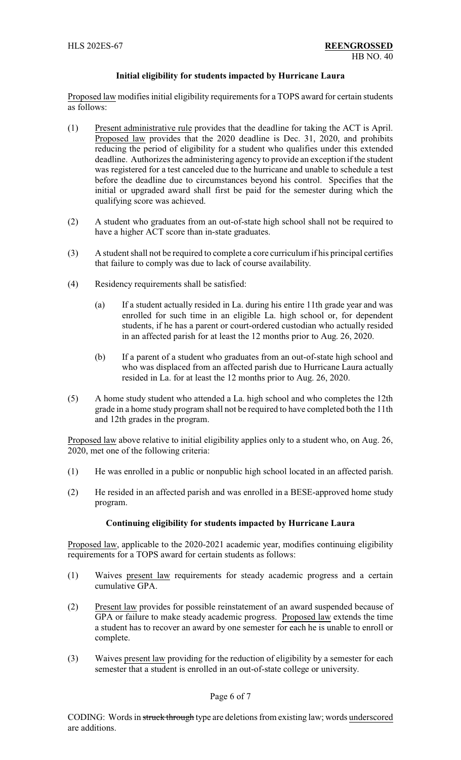### **Initial eligibility for students impacted by Hurricane Laura**

Proposed law modifies initial eligibility requirements for a TOPS award for certain students as follows:

- (1) Present administrative rule provides that the deadline for taking the ACT is April. Proposed law provides that the 2020 deadline is Dec. 31, 2020, and prohibits reducing the period of eligibility for a student who qualifies under this extended deadline. Authorizes the administering agency to provide an exception if the student was registered for a test canceled due to the hurricane and unable to schedule a test before the deadline due to circumstances beyond his control. Specifies that the initial or upgraded award shall first be paid for the semester during which the qualifying score was achieved.
- (2) A student who graduates from an out-of-state high school shall not be required to have a higher ACT score than in-state graduates.
- (3) A student shall not be required to complete a core curriculum if his principal certifies that failure to comply was due to lack of course availability.
- (4) Residency requirements shall be satisfied:
	- (a) If a student actually resided in La. during his entire 11th grade year and was enrolled for such time in an eligible La. high school or, for dependent students, if he has a parent or court-ordered custodian who actually resided in an affected parish for at least the 12 months prior to Aug. 26, 2020.
	- (b) If a parent of a student who graduates from an out-of-state high school and who was displaced from an affected parish due to Hurricane Laura actually resided in La. for at least the 12 months prior to Aug. 26, 2020.
- (5) A home study student who attended a La. high school and who completes the 12th grade in a home study program shall not be required to have completed both the 11th and 12th grades in the program.

Proposed law above relative to initial eligibility applies only to a student who, on Aug. 26, 2020, met one of the following criteria:

- (1) He was enrolled in a public or nonpublic high school located in an affected parish.
- (2) He resided in an affected parish and was enrolled in a BESE-approved home study program.

### **Continuing eligibility for students impacted by Hurricane Laura**

Proposed law, applicable to the 2020-2021 academic year, modifies continuing eligibility requirements for a TOPS award for certain students as follows:

- (1) Waives present law requirements for steady academic progress and a certain cumulative GPA.
- (2) Present law provides for possible reinstatement of an award suspended because of GPA or failure to make steady academic progress. Proposed law extends the time a student has to recover an award by one semester for each he is unable to enroll or complete.
- (3) Waives present law providing for the reduction of eligibility by a semester for each semester that a student is enrolled in an out-of-state college or university.

### Page 6 of 7